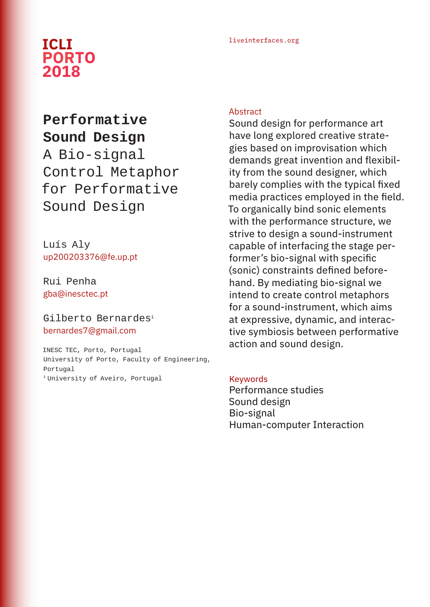## liveinterfaces.org **ICLI PORTO 2018**

# **Performative Sound Design** A Bio-signal Control Metaphor for Performative Sound Design

Luís Aly up200203376@fe.up.pt

Rui Penha gba@inesctec.pt

#### Gilberto Bernardes<sup>1</sup> bernardes7@gmail.com

INESC TEC, Porto, Portugal University of Porto, Faculty of Engineering, Portugal 1 University of Aveiro, Portugal

#### **Abstract**

Sound design for performance art have long explored creative strategies based on improvisation which demands great invention and flexibility from the sound designer, which barely complies with the typical fixed media practices employed in the field. To organically bind sonic elements with the performance structure, we strive to design a sound-instrument capable of interfacing the stage performer's bio-signal with specific (sonic) constraints defined beforehand. By mediating bio-signal we intend to create control metaphors for a sound-instrument, which aims at expressive, dynamic, and interactive symbiosis between performative action and sound design.

#### Keywords

Performance studies Sound design Bio-signal Human-computer Interaction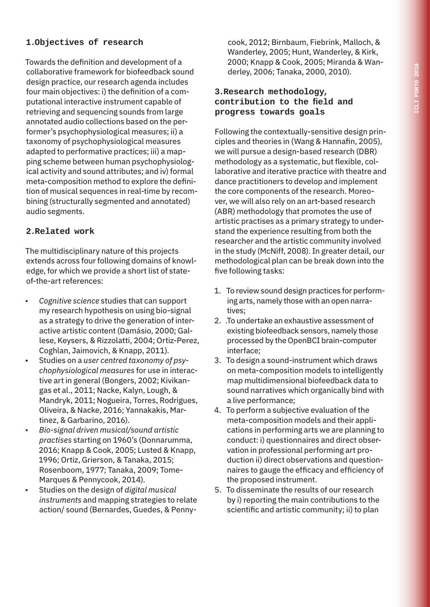### **1.Objectives of research**

Towards the definition and development of a collaborative framework for biofeedback sound design practice, our research agenda includes four main objectives: i) the definition of a computational interactive instrument capable of retrieving and sequencing sounds from large annotated audio collections based on the performer's psychophysiological measures; ii) a taxonomy of psychophysiological measures adapted to performative practices; iii) a mapping scheme between human psychophysiological activity and sound attributes; and iv) formal meta-composition method to explore the definition of musical sequences in real-time by recombining (structurally segmented and annotated) audio segments.

#### **2.Related work**

The multidisciplinary nature of this projects extends across four following domains of knowledge, for which we provide a short list of stateof-the-art references:

- *• Cognitive science* studies that can support my research hypothesis on using bio-signal as a strategy to drive the generation of interactive artistic content (Damásio, 2000; Gallese, Keysers, & Rizzolatti, 2004; Ortiz-Perez, Coghlan, Jaimovich, & Knapp, 2011).
- Studies on a *user centred taxonomy of psychophysiological measures* for use in interactive art in general (Bongers, 2002; Kivikangas et al., 2011; Nacke, Kalyn, Lough, & Mandryk, 2011; Nogueira, Torres, Rodrigues, Oliveira, & Nacke, 2016; Yannakakis, Martinez, & Garbarino, 2016).
- *• Bio-signal driven musical/sound artistic practises* starting on 1960's (Donnarumma, 2016; Knapp & Cook, 2005; Lusted & Knapp, 1996; Ortiz, Grierson, & Tanaka, 2015; Rosenboom, 1977; Tanaka, 2009; Tome-Marques & Pennycook, 2014).
- Studies on the design of *digital musical instruments* and mapping strategies to relate action/ sound (Bernardes, Guedes, & Penny-

cook, 2012; Birnbaum, Fiebrink, Malloch, & Wanderley, 2005; Hunt, Wanderley, & Kirk, 2000; Knapp & Cook, 2005; Miranda & Wanderley, 2006; Tanaka, 2000, 2010).

#### **3.Research methodology, contribution to the field and progress towards goals**

Following the contextually-sensitive design principles and theories in (Wang & Hannafin, 2005), we will pursue a design-based research (DBR) methodology as a systematic, but flexible, collaborative and iterative practice with theatre and dance practitioners to develop and implement the core components of the research. Moreover, we will also rely on an art-based research (ABR) methodology that promotes the use of artistic practises as a primary strategy to understand the experience resulting from both the researcher and the artistic community involved in the study (McNiff, 2008). In greater detail, our methodological plan can be break down into the five following tasks:

- 1. To review sound design practices for performing arts, namely those with an open narratives;
- 2. .To undertake an exhaustive assessment of existing biofeedback sensors, namely those processed by the OpenBCI brain-computer interface;
- 3. To design a sound-instrument which draws on meta-composition models to intelligently map multidimensional biofeedback data to sound narratives which organically bind with a live performance;
- 4. To perform a subjective evaluation of the meta-composition models and their applications in performing arts we are planning to conduct: i) questionnaires and direct observation in professional performing art production ii) direct observations and questionnaires to gauge the efficacy and efficiency of the proposed instrument.
- 5. To disseminate the results of our research by i) reporting the main contributions to the scientific and artistic community; ii) to plan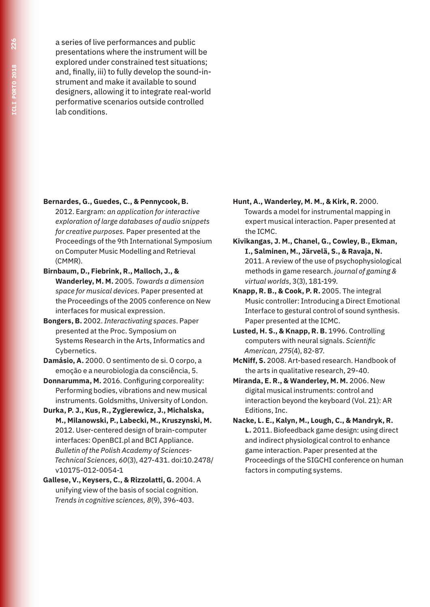a series of live performances and public presentations where the instrument will be explored under constrained test situations; and, finally, iii) to fully develop the sound-instrument and make it available to sound designers, allowing it to integrate real-world performative scenarios outside controlled lab conditions.

- **Bernardes, G., Guedes, C., & Pennycook, B.** 
	- 2012. Eargram: *an application for interactive exploration of large databases of audio snippets for creative purposes.* Paper presented at the Proceedings of the 9th International Symposium on Computer Music Modelling and Retrieval (CMMR).
- **Birnbaum, D., Fiebrink, R., Malloch, J., & Wanderley, M. M.** 2005. *Towards a dimension space for musical devices.* Paper presented at the Proceedings of the 2005 conference on New interfaces for musical expression.
- **Bongers, B.** 2002. *Interactivating spaces*. Paper presented at the Proc. Symposium on Systems Research in the Arts, Informatics and Cybernetics.
- **Damásio, A.** 2000. O sentimento de si. O corpo, a emoção e a neurobiologia da consciência, 5.
- **Donnarumma, M.** 2016. Configuring corporeality: Performing bodies, vibrations and new musical instruments. Goldsmiths, University of London.
- **Durka, P. J., Kus, R., Zygierewicz, J., Michalska, M., Milanowski, P., Labecki, M., Kruszynski, M.** 2012. User-centered design of brain-computer interfaces: OpenBCI.pl and BCI Appliance. *Bulletin of the Polish Academy of Sciences-Technical Sciences*, *60*(3), 427-431. doi:10.2478/ v10175-012-0054-1
- **Gallese, V., Keysers, C., & Rizzolatti, G.** 2004. A unifying view of the basis of social cognition. *Trends in cognitive sciences, 8*(9), 396-403.
- **Hunt, A., Wanderley, M. M., & Kirk, R.** 2000. Towards a model for instrumental mapping in expert musical interaction. Paper presented at the ICMC.
- **Kivikangas, J. M., Chanel, G., Cowley, B., Ekman, I., Salminen, M., Järvelä, S., & Ravaja, N.** 2011. A review of the use of psychophysiological methods in game research. *journal of gaming & virtual worlds*, 3(3), 181-199.
- **Knapp, R. B., & Cook, P. R.** 2005. The integral Music controller: Introducing a Direct Emotional Interface to gestural control of sound synthesis. Paper presented at the ICMC.
- **Lusted, H. S., & Knapp, R. B.** 1996. Controlling computers with neural signals. *Scientific American, 275*(4), 82-87.
- **McNiff, S.** 2008. Art-based research. Handbook of the arts in qualitative research, 29-40.
- **Miranda, E. R., & Wanderley, M. M.** 2006. New digital musical instruments: control and interaction beyond the keyboard (Vol. 21): AR Editions, Inc.
- **Nacke, L. E., Kalyn, M., Lough, C., & Mandryk, R. L.** 2011. Biofeedback game design: using direct and indirect physiological control to enhance game interaction. Paper presented at the Proceedings of the SIGCHI conference on human factors in computing systems.